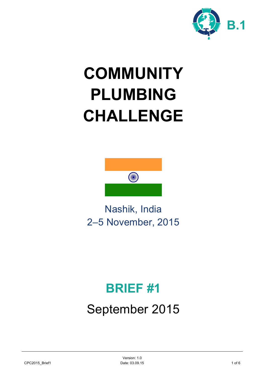

# **COMMUNITY PLUMBING CHALLENGE**



Nashik, India 2–5 November, 2015

## **BRIEF #1**

## September 2015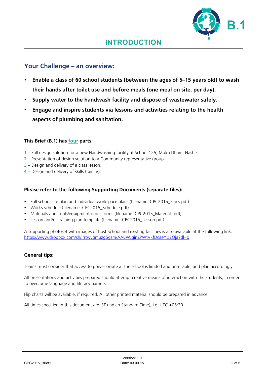### **Your Challenge – an overview:**

- **Enable a class of 60 school students (between the ages of 5–15 years old) to wash their hands after toilet use and before meals (one meal on site, per day).**
- **Supply water to the handwash facility and dispose of wastewater safely.**
- **Engage and inspire students via lessons and activities relating to the health aspects of plumbing and sanitation.**

#### **This Brief (B.1) has four parts:**

- **1** Full design solution for a new Handwashing facility at School 125, Mukti Dham, Nashik.
- **2** Presentation of design solution to a Community representative group.
- **3** Design and delivery of a class lesson.
- **4** Design and delivery of skills training.

#### **Please refer to the following Supporting Documents (separate files):**

- Full school site plan and individual workspace plans (filename: CPC2015 Plans.pdf)
- Works schedule (filename: CPC2015 Schedule.pdf)
- Materials and Tools/equipment order forms (filename: CPC2015\_Materials.pdf)
- Lesson and/or training plan template (filename: CPC2015\_Lesson.pdf)

A supporting photoset with images of host School and existing facilities is also available at the following link: https://www.dropbox.com/sh/irrtwvgmuzg5gsm/AABWJginZPWtVkfDcaeYD2Oja?dl=0

#### **General tips:**

Teams must consider that access to power onsite at the school is limited and unreliable, and plan accordingly.

All presentations and activities prepared should attempt creative means of interaction with the students, in order to overcome language and literacy barriers.

Flip charts will be available, if required. All other printed material should be prepared in advance.

All times specified in this document are IST (Indian Standard Time), i.e. UTC +05:30.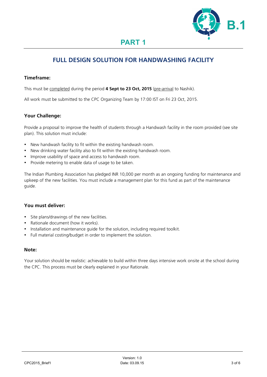

## **FULL DESIGN SOLUTION FOR HANDWASHING FACILITY**

#### **Timeframe:**

This must be completed during the period **4 Sept to 23 Oct, 2015** (pre-arrival to Nashik).

All work must be submitted to the CPC Organizing Team by 17:00 IST on Fri 23 Oct, 2015.

#### **Your Challenge:**

Provide a proposal to improve the health of students through a Handwash facility in the room provided (see site plan). This solution must include:

- New handwash facility to fit within the existing handwash room.
- New drinking water facility also to fit within the existing handwash room.
- Improve usability of space and access to handwash room.
- Provide metering to enable data of usage to be taken.

The Indian Plumbing Association has pledged INR 10,000 per month as an ongoing funding for maintenance and upkeep of the new facilities. You must include a management plan for this fund as part of the maintenance guide.

#### **You must deliver:**

- Site plans/drawings of the new facilities.
- Rationale document (how it works).
- Installation and maintenance guide for the solution, including required toolkit.
- Full material costing/budget in order to implement the solution.

#### **Note:**

Your solution should be realistic: achievable to build within three days intensive work onsite at the school during the CPC. This process must be clearly explained in your Rationale.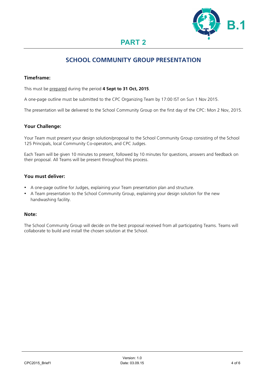

### **SCHOOL COMMUNITY GROUP PRESENTATION**

#### **Timeframe:**

This must be prepared during the period **4 Sept to 31 Oct, 2015**.

A one-page outline must be submitted to the CPC Organizing Team by 17:00 IST on Sun 1 Nov 2015.

The presentation will be delivered to the School Community Group on the first day of the CPC: Mon 2 Nov, 2015.

#### **Your Challenge:**

Your Team must present your design solution/proposal to the School Community Group consisting of the School 125 Principals, local Community Co-operators, and CPC Judges.

Each Team will be given 10 minutes to present, followed by 10 minutes for questions, answers and feedback on their proposal. All Teams will be present throughout this process.

#### **You must deliver:**

- A one-page outline for Judges, explaining your Team presentation plan and structure.
- A Team presentation to the School Community Group, explaining your design solution for the new handwashing facility.

#### **Note:**

The School Community Group will decide on the best proposal received from all participating Teams. Teams will collaborate to build and install the chosen solution at the School.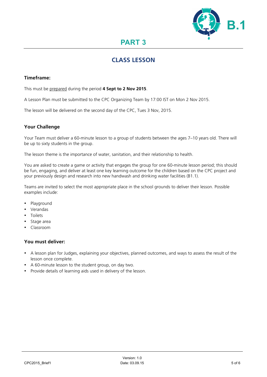

## **CLASS LESSON**

#### **Timeframe:**

This must be prepared during the period **4 Sept to 2 Nov 2015**.

A Lesson Plan must be submitted to the CPC Organizing Team by 17:00 IST on Mon 2 Nov 2015.

The lesson will be delivered on the second day of the CPC, Tues 3 Nov, 2015.

#### **Your Challenge**

Your Team must deliver a 60-minute lesson to a group of students between the ages 7–10 years old. There will be up to sixty students in the group.

The lesson theme is the importance of water, sanitation, and their relationship to health.

You are asked to create a game or activity that engages the group for one 60-minute lesson period; this should be fun, engaging, and deliver at least one key learning outcome for the children based on the CPC project and your previously design and research into new handwash and drinking water facilities (B1.1).

Teams are invited to select the most appropriate place in the school grounds to deliver their lesson. Possible examples include:

- Playground
- Verandas
- Toilets
- Stage area
- Classroom

#### **You must deliver:**

- A lesson plan for Judges, explaining your objectives, planned outcomes, and ways to assess the result of the lesson once complete.
- A 60-minute lesson to the student group, on day two.
- Provide details of learning aids used in delivery of the lesson.